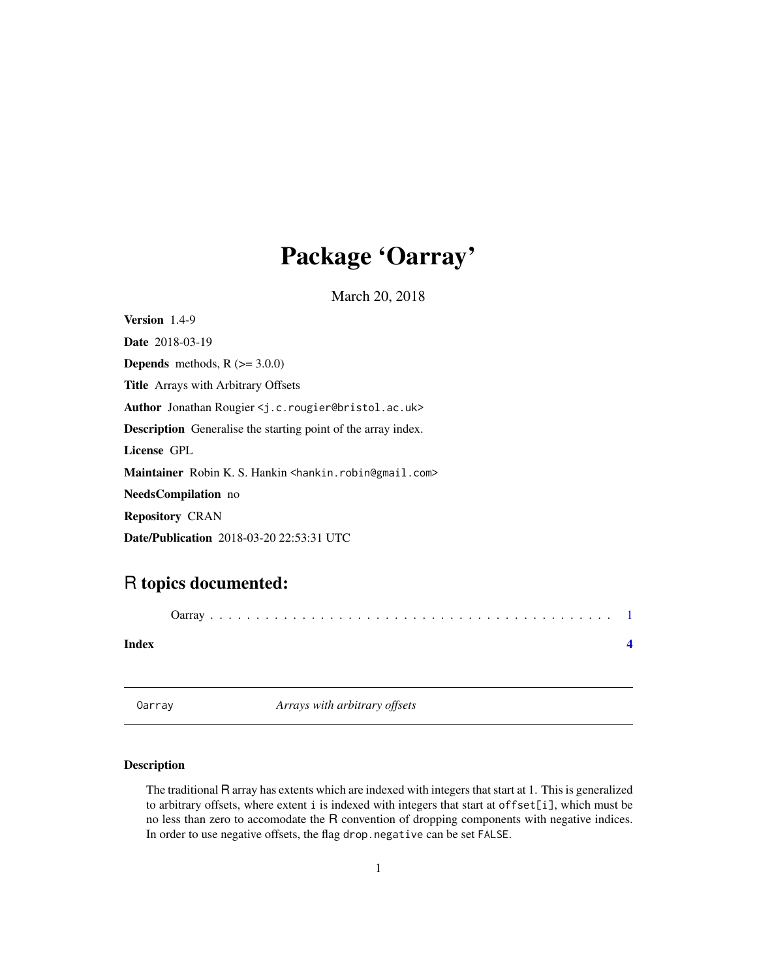## <span id="page-0-0"></span>Package 'Oarray'

March 20, 2018

<span id="page-0-1"></span>Version 1.4-9 Date 2018-03-19 **Depends** methods,  $R$  ( $> = 3.0.0$ ) Title Arrays with Arbitrary Offsets Author Jonathan Rougier <j.c.rougier@bristol.ac.uk> Description Generalise the starting point of the array index. License GPL Maintainer Robin K. S. Hankin <hankin.robin@gmail.com> NeedsCompilation no Repository CRAN Date/Publication 2018-03-20 22:53:31 UTC

### R topics documented:

| Index |  |
|-------|--|
|       |  |

Oarray *Arrays with arbitrary offsets*

#### Description

The traditional R array has extents which are indexed with integers that start at 1. This is generalized to arbitrary offsets, where extent i is indexed with integers that start at offset[i], which must be no less than zero to accomodate the R convention of dropping components with negative indices. In order to use negative offsets, the flag drop.negative can be set FALSE.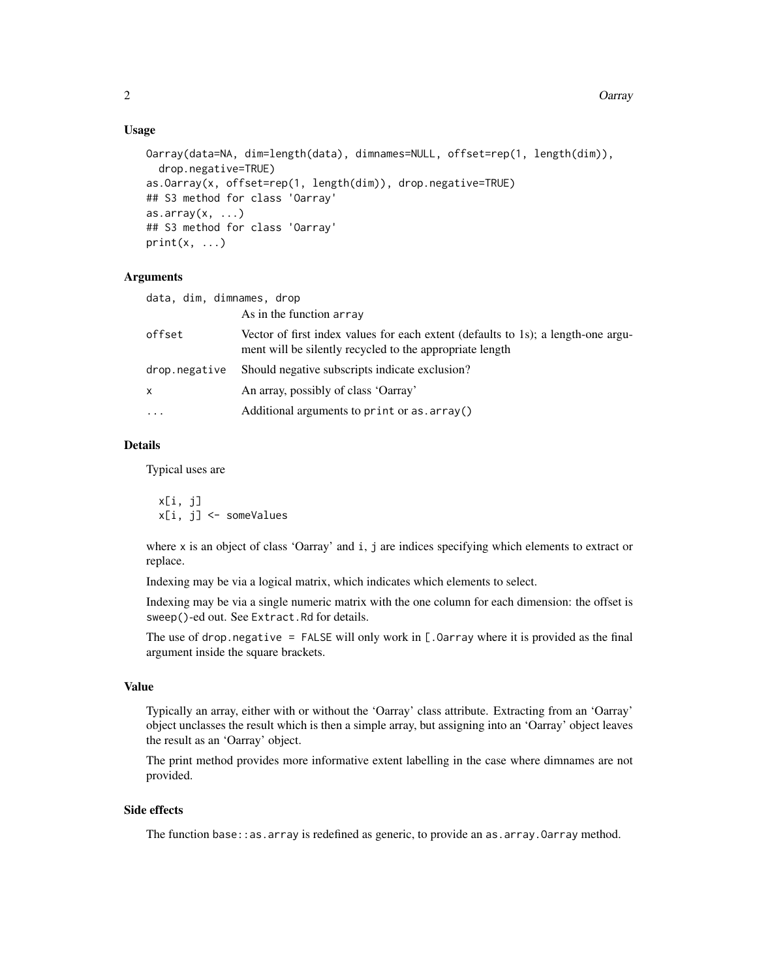#### Usage

```
Oarray(data=NA, dim=length(data), dimnames=NULL, offset=rep(1, length(dim)),
  drop.negative=TRUE)
as.Oarray(x, offset=rep(1, length(dim)), drop.negative=TRUE)
## S3 method for class 'Oarray'
as.array(x, ...)## S3 method for class 'Oarray'
print(x, \ldots)
```
#### Arguments

| data, dim, dimnames, drop | As in the function array                                                                                                                      |
|---------------------------|-----------------------------------------------------------------------------------------------------------------------------------------------|
| offset                    | Vector of first index values for each extent (defaults to 1s); a length-one argu-<br>ment will be silently recycled to the appropriate length |
| drop.negative             | Should negative subscripts indicate exclusion?                                                                                                |
| X                         | An array, possibly of class 'Oarray'                                                                                                          |
| $\ddotsc$                 | Additional arguments to print or as. array()                                                                                                  |

#### Details

Typical uses are

x[i, j] x[i, j] <- someValues

where x is an object of class 'Oarray' and i, j are indices specifying which elements to extract or replace.

Indexing may be via a logical matrix, which indicates which elements to select.

Indexing may be via a single numeric matrix with the one column for each dimension: the offset is sweep()-ed out. See Extract.Rd for details.

The use of drop.negative = FALSE will only work in  $[$ . Oarray where it is provided as the final argument inside the square brackets.

#### Value

Typically an array, either with or without the 'Oarray' class attribute. Extracting from an 'Oarray' object unclasses the result which is then a simple array, but assigning into an 'Oarray' object leaves the result as an 'Oarray' object.

The print method provides more informative extent labelling in the case where dimnames are not provided.

#### Side effects

The function base::as.array is redefined as generic, to provide an as.array.Oarray method.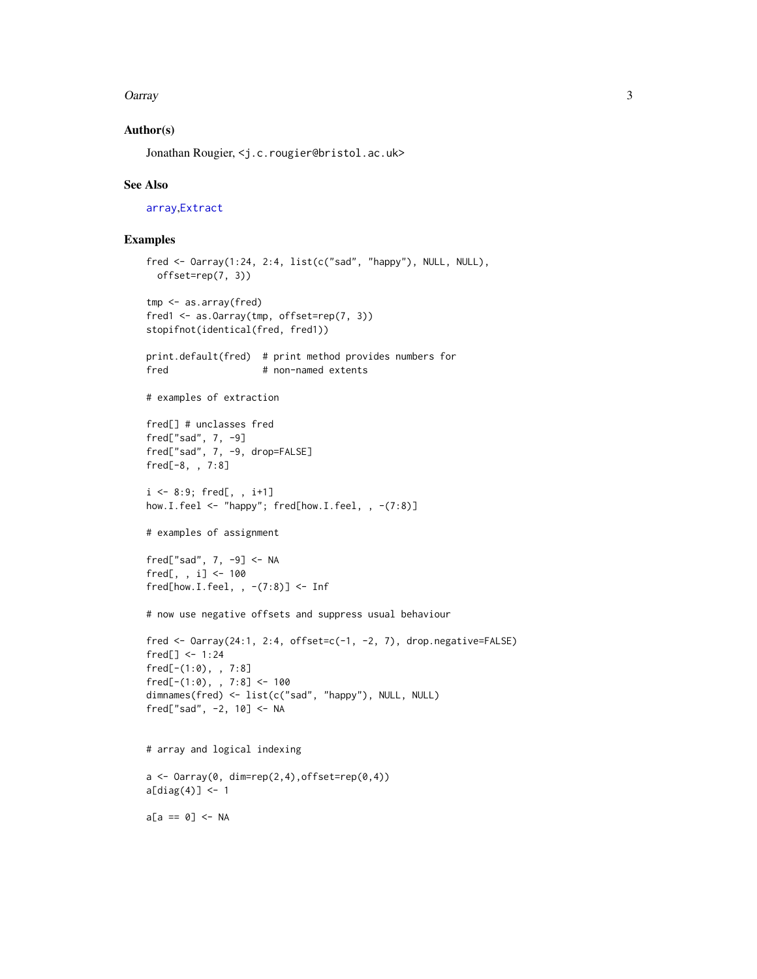#### <span id="page-2-0"></span>Oarray 3

#### Author(s)

Jonathan Rougier, <j.c.rougier@bristol.ac.uk>

#### See Also

[array](#page-0-1),[Extract](#page-0-1)

#### Examples

```
fred <- Oarray(1:24, 2:4, list(c("sad", "happy"), NULL, NULL),
 offset=rep(7, 3))
tmp <- as.array(fred)
fred1 <- as.Oarray(tmp, offset=rep(7, 3))
stopifnot(identical(fred, fred1))
print.default(fred) # print method provides numbers for
fred # non-named extents
# examples of extraction
fred[] # unclasses fred
fred["sad", 7, -9]
fred["sad", 7, -9, drop=FALSE]
fred[-8, , 7:8]
i \le -8:9; fred[, , i+1]
how.I.feel <- "happy"; fred[how.I.feel, , -(7:8)]
# examples of assignment
fred["sad", 7, -9] <- NA
fred[, , i] <- 100
fred[how.I.feel, , -(7:8)] < -Inf# now use negative offsets and suppress usual behaviour
fred \leq 0array(24:1, 2:4, offset=c(-1, -2, 7), drop.negative=FALSE)
fred[] < -1:24fred[-(1:0), , 7:8]
fred[-(1:0), , 7:8] < -100dimnames(fred) <- list(c("sad", "happy"), NULL, NULL)
fred["sad", -2, 10] <- NA
# array and logical indexing
a \leftarrow Oarray(0, dim=rep(2,4), offset=rep(0,4))
a[diag(4)] \leftarrow 1a[a == 0] < -NA
```